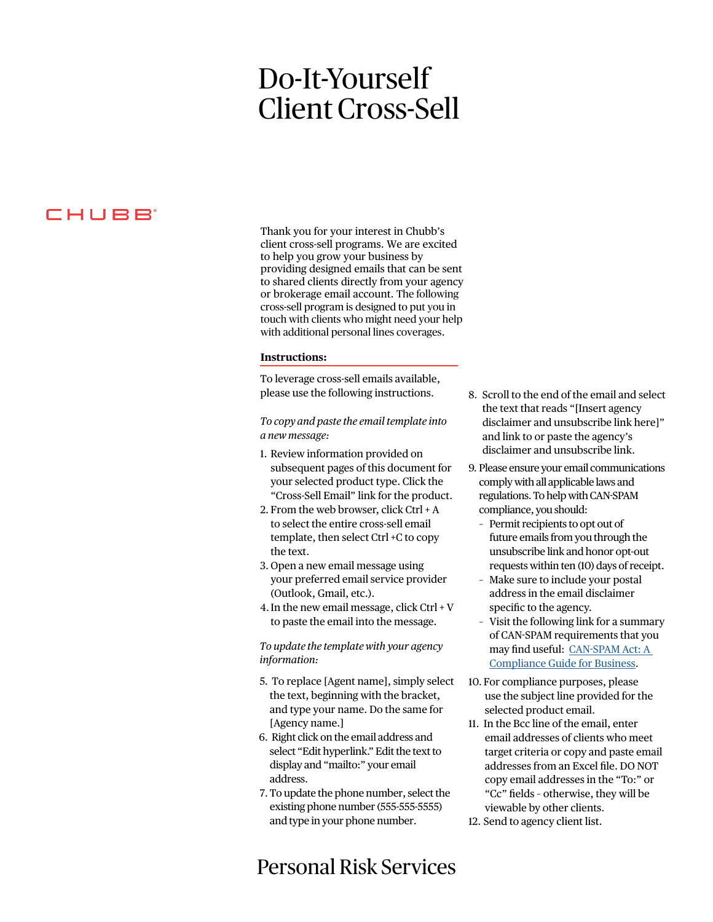# Do-It-Yourself Client Cross-Sell

## CHUBB

Thank you for your interest in Chubb's client cross-sell programs. We are excited to help you grow your business by providing designed emails that can be sent to shared clients directly from your agency or brokerage email account. The following cross-sell program is designed to put you in touch with clients who might need your help with additional personal lines coverages.

#### **Instructions:**

To leverage cross-sell emails available, [please use the following instructions.](#page-1-0) 

*To copy and paste the email template into a new message:*

- 1. Review information provided on subsequent pages of this document for your selected product type. Click the "Cross-Sell Email" link for the product.
- 2. From the web browser, click Ctrl + A to select the entire cross-sell email template, then select Ctrl +C to copy the text.
- 3. Open a new email message using your preferred email service provider (Outlook, Gmail, etc.).
- 4.In the new email message, click Ctrl + V to paste the email into the message.

*To update the template with your agency information:*

- 5. To replace [Agent name], simply select the text, beginning with the bracket, and type your name. Do the same for [Agency name.]
- 6. Right click on the email address and select "Edit hyperlink." Edit the text to display and "mailto:" your email address.
- 7. To update the phone number, select the existing phone number (555-555-5555) and type in your phone number.

## Personal Risk Services

- 8. Scroll to the end of the email and select the text that reads "[Insert agency disclaimer and unsubscribe link here]" and link to or paste the agency's disclaimer and unsubscribe link.
- 9. Please ensure your email communications comply with all applicable laws and regulations. To help with CAN-SPAM compliance, you should:
	- Permit recipients to opt out of future emails from you through the unsubscribe link and honor opt-out requests within ten (10) days of receipt.
	- Make sure to include your postal address in the email disclaimer specific to the agency.
	- Visit the following link for a summary of CAN-SPAM requirements that you may find useful: [CAN-SPAM Act: A](https://www.ftc.gov/tips-advice/business-center/guidance/can-spam-act-compliance-guide-business)  [Compliance Guide for Business.](https://www.ftc.gov/tips-advice/business-center/guidance/can-spam-act-compliance-guide-business)
- 10. For compliance purposes, please use the subject line provided for the selected product email.
- 11. In the Bcc line of the email, enter email addresses of clients who meet target criteria or copy and paste email addresses from an Excel file. DO NOT copy email addresses in the "To:" or "Cc" fields – otherwise, they will be viewable by other clients.
- 12. Send to agency client list.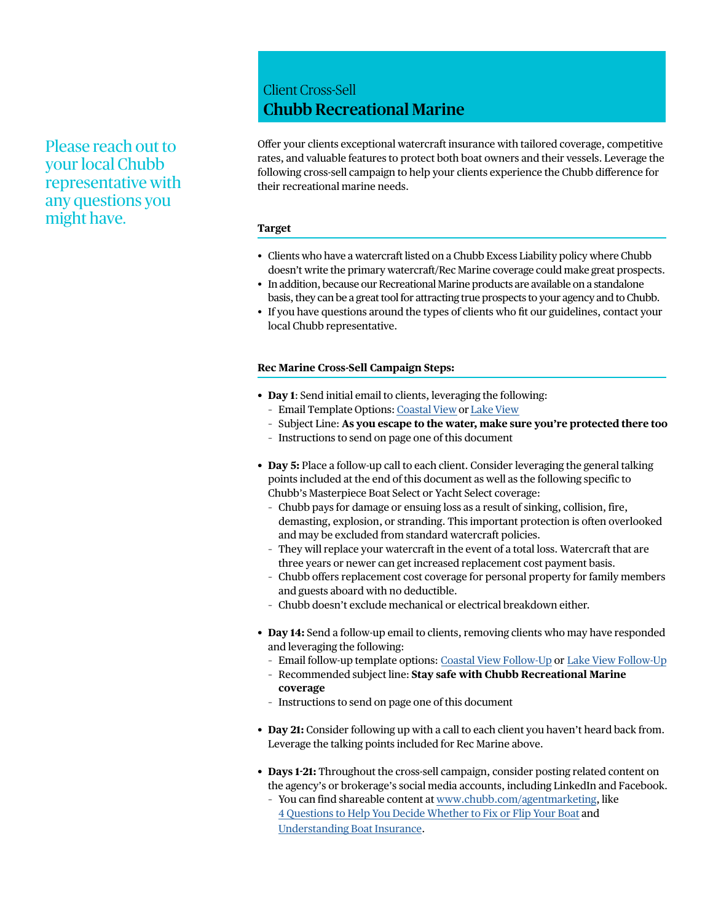### <span id="page-1-0"></span>Please reach out to your local Chubb representative with any questions you might have.

### Client Cross-Sell Chubb Recreational Marine

Offer your clients exceptional watercraft insurance with tailored coverage, competitive rates, and valuable features to protect both boat owners and their vessels. Leverage the following cross-sell campaign to help your clients experience the Chubb difference for their recreational marine needs.

#### **Target**

- Clients who have a watercraft listed on a Chubb Excess Liability policy where Chubb doesn't write the primary watercraft/Rec Marine coverage could make great prospects.
- In addition, because our Recreational Marine products are available on a standalone basis, they can be a great tool for attracting true prospects to your agency and to Chubb.
- If you have questions around the types of clients who fit our guidelines, contact your local Chubb representative.

#### **Rec Marine Cross-Sell Campaign Steps:**

- **Day 1**: Send initial email to clients, leveraging the following:
	- Email Template Options: [Coastal View](https://cloud.e.chubb.com/Rec_Marine_Cross_Sell_OTF_Email) or [Lake View](https://cloud.e.chubb.com/Rec_Marine_Cross_Sell_OTF_Email_2)
	- Subject Line: **As you escape to the water, make sure you're protected there too**
	- Instructions to send on page one of this document
- **Day 5:** Place a follow-up call to each client. Consider leveraging the general talking points included at the end of this document as well as the following specific to Chubb's Masterpiece Boat Select or Yacht Select coverage:
	- Chubb pays for damage or ensuing loss as a result of sinking, collision, fire, demasting, explosion, or stranding. This important protection is often overlooked and may be excluded from standard watercraft policies.
	- They will replace your watercraft in the event of a total loss. Watercraft that are three years or newer can get increased replacement cost payment basis.
	- Chubb offers replacement cost coverage for personal property for family members and guests aboard with no deductible.
	- Chubb doesn't exclude mechanical or electrical breakdown either.
- **Day 14:** Send a follow-up email to clients, removing clients who may have responded and leveraging the following:
	- Email follow-up template options[: Coastal View Follow-Up](https://cloud.e.chubb.com/Rec_Marine_Cross_Sell_OTF_Email_Follow_Up) o[r Lake View Follow-Up](https://cloud.e.chubb.com/Rec_Marine_Cross_Sell_OTF_Email_Follow_Up_2)
	- Recommended subject line: **Stay safe with Chubb Recreational Marine coverage**
	- Instructions to send on page one of this document
- **Day 21:** Consider following up with a call to each client you haven't heard back from. Leverage the talking points included for Rec Marine above.
- **Days 1-21:** Throughout the cross-sell campaign, consider posting related content on the agency's or brokerage's social media accounts, including LinkedIn and Facebook.
	- You can find shareable content at [www.chubb.com/agentmarketing](https://www.chubb.com/agentmarketing), like [4 Questions to Help You Decide Whether to Fix or Flip Your Boat](https://www.chubb.com/us-en/individuals-families/resources/4-questions-to-help-you-decide-whether-to-fix-or-flip-your-boat.html) and [Understanding Boat Insurance](https://www.chubb.com/us-en/individuals-families/resources/understanding-boat-insurance.html).